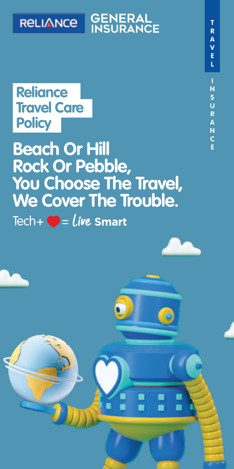

# **GENERAL**<br>**INSURANCE**

### **Reliance Travel Care Policy**

 $\text{Techn} + \bigcirc = \text{Live}$  Smart **<sup>E</sup> Beach Or Hill Rock Or Pebble, You Choose The Travel, We Cover The Trouble.**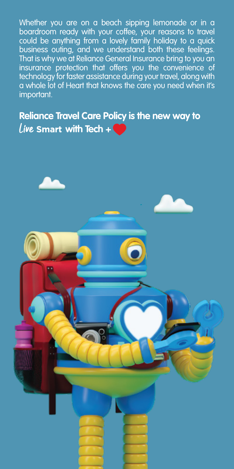Whether you are on a beach sipping lemonade or in a boardroom ready with your coffee, your reasons to travel could be anything from a lovely family holiday to a quick business outing, and we understand both these feelings. That is why we at Reliance General Insurance bring to you an insurance protection that offers you the convenience of technology for faster assistance during your travel, along with a whole lot of Heart that knows the care you need when it's important.

### **Reliance Travel Care Policy is the new way to**  *Live* Smart with Tech +

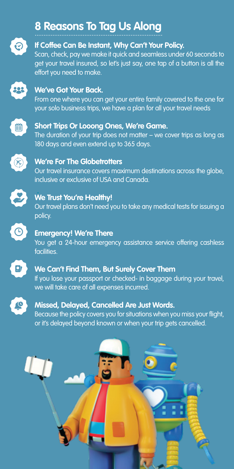### **8 Reasons To Tag Us Along** ........................................................................



#### **If Coffee Can Be Instant, Why Can't Your Policy.**

Scan, check, pay we make it quick and seamless under 60 seconds to get your travel insured, so let's just say, one tap of a button is all the effort you need to make.



#### **We've Got Your Back.**

From one where you can get your entire family covered to the one for your solo business trips, we have a plan for all your travel needs



#### **Short Trips Or Looong Ones, We're Game.**

The duration of your trip does not matter – we cover trips as long as 180 days and even extend up to 365 days.



#### **We're For The Globetrotters**

Our travel insurance covers maximum destinations across the globe, inclusive or exclusive of USA and Canada.



#### **We Trust You're Healthy!**

Our travel plans don't need you to take any medical tests for issuing a policy.



#### **Emergency! We're There**

You get a 24-hour emergency assistance service offering cashless facilities.



#### **We Can't Find Them, But Surely Cover Them**

If you lose your passport or checked- in baggage during your travel, we will take care of all expenses incurred.



#### **Missed, Delayed, Cancelled Are Just Words.**

Because the policy covers you for situations when you miss your flight, or it's delayed beyond known or when your trip gets cancelled.

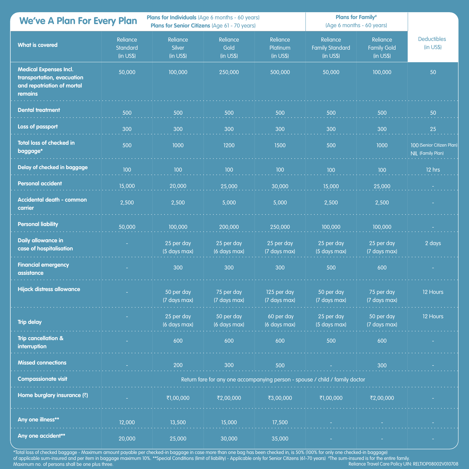| <b>We've A Plan For Every Plan</b>                                                                   |                                                                              | <b>Plans for Individuals</b> (Age 6 months - 60 years)<br>Plans for Senior Citizens (Age 61 - 70 years) |                               |                                   | <b>Plans for Family*</b><br>(Age 6 months - 60 years) |                                                    |                                                |
|------------------------------------------------------------------------------------------------------|------------------------------------------------------------------------------|---------------------------------------------------------------------------------------------------------|-------------------------------|-----------------------------------|-------------------------------------------------------|----------------------------------------------------|------------------------------------------------|
| <b>What is covered</b>                                                                               | Reliance<br>Standard<br>(in US\$)                                            | Reliance<br><b>Silver</b><br>(in US\$)                                                                  | Reliance<br>Gold<br>(in US\$) | Reliance<br>Platinum<br>(in US\$) | Reliance<br><b>Family Standard</b><br>(in US\$)       | Reliance<br><b>Family Gold</b><br>(in <b>USS</b> ) | <b>Deductibles</b><br>$(in \; US$)$            |
| <b>Medical Expenses Incl.</b><br>transportation, evacuation<br>and repatriation of mortal<br>remains | 50,000                                                                       | 100,000                                                                                                 | 250,000                       | 500,000                           | 50,000                                                | 100,000                                            | 50                                             |
| <b>Dental treatment</b>                                                                              | 500                                                                          | 500                                                                                                     | 500                           | 500                               | 500                                                   | 500                                                | 50                                             |
| <b>Loss of passport</b>                                                                              | 300                                                                          | 300                                                                                                     | 300                           | 300                               | 300                                                   | 300                                                | $25\,$                                         |
| <b>Total loss of checked in</b><br>baggage*                                                          | 500                                                                          | 1000                                                                                                    | 1200                          | 1500                              | 500                                                   | 1000                                               | 100 (Senior Citizen Plan)<br>NIL (Family Plan) |
| Delay of checked in baggage                                                                          | 100                                                                          | 100                                                                                                     | 100                           | 100                               | 100                                                   | 100                                                | 12 hrs                                         |
| <b>Personal accident</b>                                                                             | 15,000                                                                       | 20,000                                                                                                  | 25,000                        | 30,000                            | 15,000                                                | 25,000                                             |                                                |
| <b>Accidental death - common</b><br>carrier                                                          | 2,500                                                                        | 2,500                                                                                                   | 5,000                         | 5,000                             | 2,500                                                 | 2,500                                              |                                                |
| <b>Personal liability</b>                                                                            | 50,000                                                                       | 100,000                                                                                                 | 200,000                       | 250,000                           | 100,000                                               | 100,000                                            |                                                |
| Daily allowance in<br>case of hospitalisation                                                        |                                                                              | 25 per day<br>(5 days max)                                                                              | 25 per day<br>(6 days max)    | 25 per day<br>(7 days max)        | 25 per day<br>(5 days max)                            | 25 per day<br>(7 days max)                         | 2 days                                         |
| <b>Financial emergency</b><br>assistance                                                             |                                                                              | 300                                                                                                     | 300                           | 300                               | 500                                                   | 600                                                |                                                |
| Hijack distress allowance                                                                            |                                                                              | 50 per day<br>(7 days max)                                                                              | 75 per day<br>(7 days max)    | 125 per day<br>(7 days max)       | 50 per day<br>(7 days max)                            | 75 per day<br>(7 days max)                         | 12 Hours                                       |
| <b>Trip delay</b>                                                                                    |                                                                              | 25 per day<br>(6 days max)                                                                              | 50 per day<br>(6 days max)    | 60 per day<br>(6 days max)        | 25 per day<br>(5 days max)                            | 50 per day<br>(7 days max)                         | 12 Hours                                       |
| <b>Trip cancellation &amp;</b><br>interruption                                                       |                                                                              | 600                                                                                                     | 600                           | 600                               | 500                                                   | 600                                                |                                                |
| <b>Missed connections</b>                                                                            |                                                                              | 200                                                                                                     | 300                           | 500                               |                                                       | 300                                                |                                                |
| <b>Compassionate visit</b>                                                                           | Return fare for any one accompanying person - spouse / child / family doctor |                                                                                                         |                               |                                   |                                                       |                                                    |                                                |
| Home burglary insurance (₹)                                                                          |                                                                              | ₹1,00,000                                                                                               | ₹2,00,000                     | ₹3,00,000                         | ₹1,00,000                                             | ₹2,00,000                                          |                                                |
| Any one illness**                                                                                    | 12,000                                                                       | 13,500                                                                                                  | 15,000                        | 17,500                            |                                                       |                                                    |                                                |
| Any one accident**                                                                                   | 20,000                                                                       | 25,000                                                                                                  | 30,000                        | 35,000                            |                                                       |                                                    |                                                |

Reliance Travel Care Policy UIN: RELTIOP08002V010708 \*Total loss of checked baggage - Maximum amount payable per checked-in baggage in case more than one bag has been checked in, is 50% (100% for only one checked-in baggage)<br>of applicable sum-insured and per item in baggage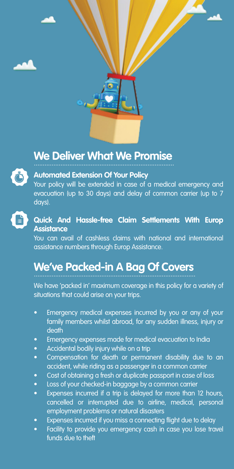

### **We Deliver What We Promise** ...............................................................................



#### **Automated Extension Of Your Policy**

Your policy will be extended in case of a medical emergency and evacuation (up to 30 days) and delay of common carrier (up to 7 days).



#### **Quick And Hassle-free Claim Settlements With Europ Assistance**

You can avail of cashless claims with national and international assistance numbers through Europ Assistance.

### We've Packed-in A Bag Of Covers

We have 'packed in' maximum coverage in this policy for a variety of situations that could arise on your trips.

- Emergency medical expenses incurred by you or any of your family members whilst abroad, for any sudden illness, injury or death
- Emergency expenses made for medical evacuation to India
- Accidental bodily injury while on a trip
- Compensation for death or permanent disability due to an accident, while riding as a passenger in a common carrier
- Cost of obtaining a fresh or duplicate passport in case of loss
- Loss of your checked-in baggage by a common carrier
- Expenses incurred if a trip is delayed for more than 12 hours, cancelled or interrupted due to airline, medical, personal employment problems or natural disasters
- Expenses incurred if you miss a connecting flight due to delay
- Facility to provide you emergency cash in case you lose travel funds due to theft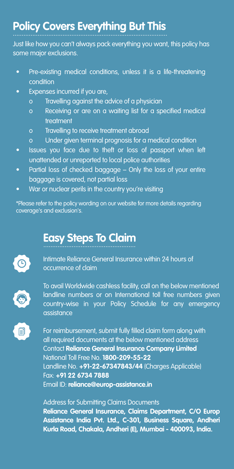## Policy Covers Everything But This

Just like how you can't always pack everything you want, this policy has some major exclusions.

- Pre-existing medical conditions, unless it is a life-threatening condition
- Expenses incurred if you are,
	- o Travelling against the advice of a physician
	- o Receiving or are on a waiting list for a specified medical treatment
	- o Travelling to receive treatment abroad
	- o Under given terminal prognosis for a medical condition
- Issues you face due to theft or loss of passport when left unattended or unreported to local police authorities
- Partial loss of checked baggage Only the loss of your entire baggage is covered, not partial loss
- War or nuclear perils in the country you're visiting

\*Please refer to the policy wording on our website for more details regarding coverage's and exclusion's.

### **Easy Steps To Claim**

Intimate Reliance General Insurance within 24 hours of occurrence of claim



To avail Worldwide cashless facility, call on the below mentioned landline numbers or on International toll free numbers given country-wise in your Policy Schedule for any emergency assistance



For reimbursement, submit fully filled claim form along with all required documents at the below mentioned address Contact **Reliance General Insurance Company Limited** National Toll Free No. **1800-209-55-22** Landline No. **+91-22-67347843/44** (Charges Applicable) Fax: **+91 22 6734 7888** Email ID: **reliance@europ-assistance.in**

Address for Submitting Claims Documents **Reliance General Insurance, Claims Department, C/O Europ Assistance India Pvt. Ltd., C-301, Business Square, Andheri Kurla Road, Chakala, Andheri (E), Mumbai - 400093, India.**